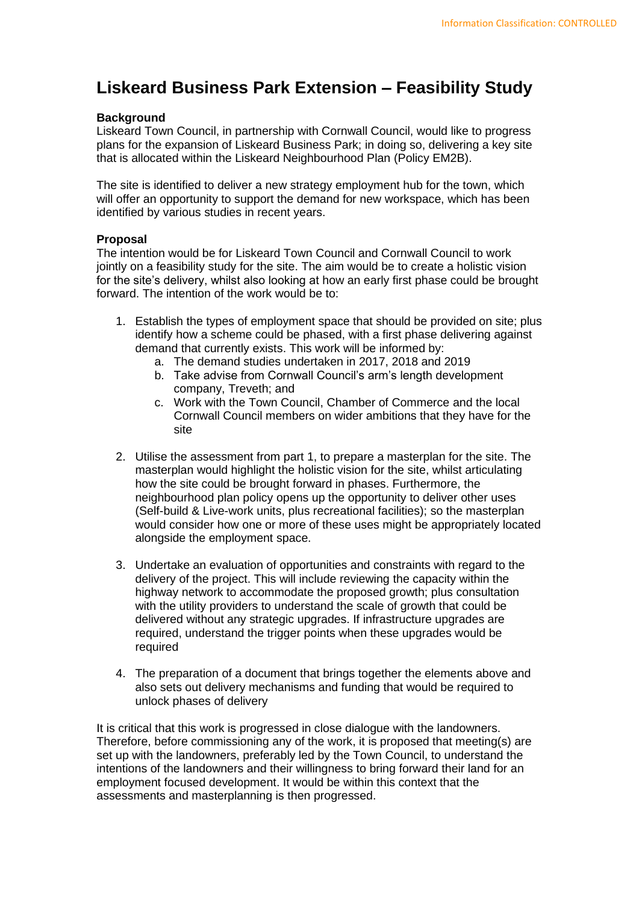## **Liskeard Business Park Extension – Feasibility Study**

## **Background**

Liskeard Town Council, in partnership with Cornwall Council, would like to progress plans for the expansion of Liskeard Business Park; in doing so, delivering a key site that is allocated within the Liskeard Neighbourhood Plan (Policy EM2B).

The site is identified to deliver a new strategy employment hub for the town, which will offer an opportunity to support the demand for new workspace, which has been identified by various studies in recent years.

## **Proposal**

The intention would be for Liskeard Town Council and Cornwall Council to work jointly on a feasibility study for the site. The aim would be to create a holistic vision for the site's delivery, whilst also looking at how an early first phase could be brought forward. The intention of the work would be to:

- 1. Establish the types of employment space that should be provided on site; plus identify how a scheme could be phased, with a first phase delivering against demand that currently exists. This work will be informed by:
	- a. The demand studies undertaken in 2017, 2018 and 2019
	- b. Take advise from Cornwall Council's arm's length development company, Treveth; and
	- c. Work with the Town Council, Chamber of Commerce and the local Cornwall Council members on wider ambitions that they have for the site
- 2. Utilise the assessment from part 1, to prepare a masterplan for the site. The masterplan would highlight the holistic vision for the site, whilst articulating how the site could be brought forward in phases. Furthermore, the neighbourhood plan policy opens up the opportunity to deliver other uses (Self-build & Live-work units, plus recreational facilities); so the masterplan would consider how one or more of these uses might be appropriately located alongside the employment space.
- 3. Undertake an evaluation of opportunities and constraints with regard to the delivery of the project. This will include reviewing the capacity within the highway network to accommodate the proposed growth; plus consultation with the utility providers to understand the scale of growth that could be delivered without any strategic upgrades. If infrastructure upgrades are required, understand the trigger points when these upgrades would be required
- 4. The preparation of a document that brings together the elements above and also sets out delivery mechanisms and funding that would be required to unlock phases of delivery

It is critical that this work is progressed in close dialogue with the landowners. Therefore, before commissioning any of the work, it is proposed that meeting(s) are set up with the landowners, preferably led by the Town Council, to understand the intentions of the landowners and their willingness to bring forward their land for an employment focused development. It would be within this context that the assessments and masterplanning is then progressed.